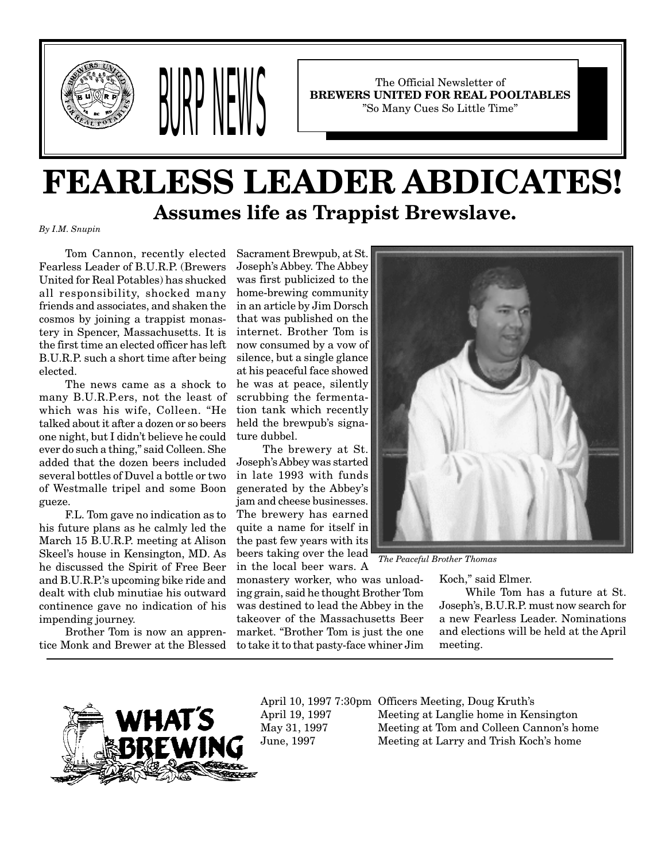



The Official Newsletter of **BREWERS UNITED FOR REAL POOLTABLES** "So Many Cues So Little Time"

# **FEARLESS LEADER ABDICATES! Assumes life as Trappist Brewslave.**

*By I.M. Snupin*

Tom Cannon, recently elected Fearless Leader of B.U.R.P. (Brewers United for Real Potables) has shucked all responsibility, shocked many friends and associates, and shaken the cosmos by joining a trappist monastery in Spencer, Massachusetts. It is the first time an elected officer has left B.U.R.P. such a short time after being elected.

The news came as a shock to many B.U.R.P.ers, not the least of which was his wife, Colleen. "He talked about it after a dozen or so beers one night, but I didn't believe he could ever do such a thing," said Colleen. She added that the dozen beers included several bottles of Duvel a bottle or two of Westmalle tripel and some Boon gueze.

F.L. Tom gave no indication as to his future plans as he calmly led the March 15 B.U.R.P. meeting at Alison Skeel's house in Kensington, MD. As he discussed the Spirit of Free Beer and B.U.R.P.'s upcoming bike ride and dealt with club minutiae his outward continence gave no indication of his impending journey.

Brother Tom is now an apprentice Monk and Brewer at the Blessed

Sacrament Brewpub, at St. Joseph's Abbey. The Abbey was first publicized to the home-brewing community in an article by Jim Dorsch that was published on the internet. Brother Tom is now consumed by a vow of silence, but a single glance at his peaceful face showed he was at peace, silently scrubbing the fermentation tank which recently held the brewpub's signature dubbel.

The brewery at St. Joseph's Abbey was started in late 1993 with funds generated by the Abbey's jam and cheese businesses. The brewery has earned quite a name for itself in the past few years with its beers taking over the lead in the local beer wars. A

monastery worker, who was unloading grain, said he thought Brother Tom was destined to lead the Abbey in the takeover of the Massachusetts Beer market. "Brother Tom is just the one to take it to that pasty-face whiner Jim



*The Peaceful Brother Thomas*

Koch," said Elmer.

While Tom has a future at St. Joseph's, B.U.R.P. must now search for a new Fearless Leader. Nominations and elections will be held at the April meeting.



April 10, 1997 7:30pm Officers Meeting, Doug Kruth's April 19, 1997 Meeting at Langlie home in Kensington May 31, 1997 Meeting at Tom and Colleen Cannon's home June, 1997 Meeting at Larry and Trish Koch's home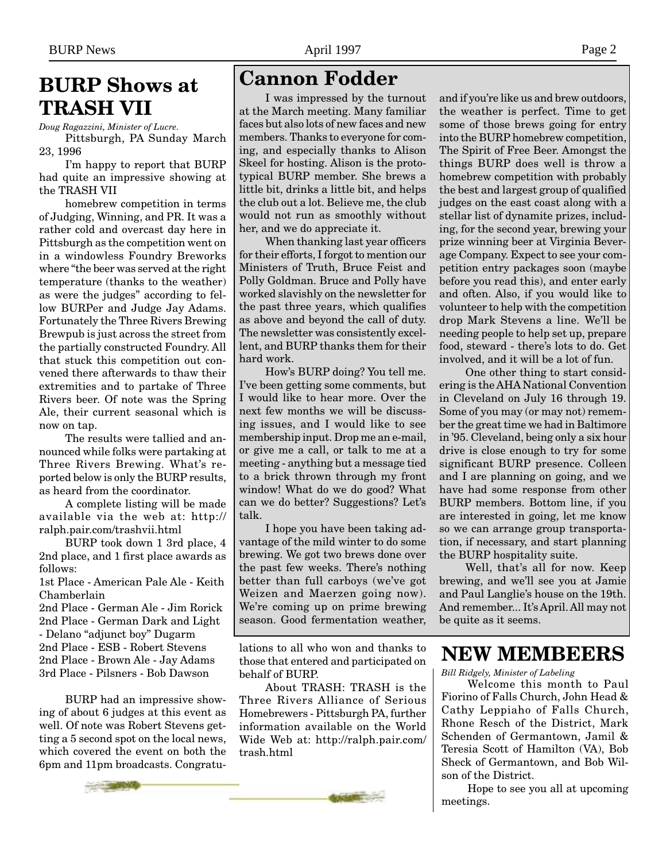## **BURP Shows at TRASH VII**

*Doug Ragazzini, Minister of Lucre.* Pittsburgh, PA Sunday March 23, 1996

I'm happy to report that BURP had quite an impressive showing at the TRASH VII

homebrew competition in terms of Judging, Winning, and PR. It was a rather cold and overcast day here in Pittsburgh as the competition went on in a windowless Foundry Breworks where "the beer was served at the right temperature (thanks to the weather) as were the judges" according to fellow BURPer and Judge Jay Adams. Fortunately the Three Rivers Brewing Brewpub is just across the street from the partially constructed Foundry. All that stuck this competition out convened there afterwards to thaw their extremities and to partake of Three Rivers beer. Of note was the Spring Ale, their current seasonal which is now on tap.

The results were tallied and announced while folks were partaking at Three Rivers Brewing. What's reported below is only the BURP results, as heard from the coordinator.

A complete listing will be made available via the web at: http:// ralph.pair.com/trashvii.html

BURP took down 1 3rd place, 4 2nd place, and 1 first place awards as follows:

1st Place - American Pale Ale - Keith Chamberlain

2nd Place - German Ale - Jim Rorick 2nd Place - German Dark and Light - Delano "adjunct boy" Dugarm 2nd Place - ESB - Robert Stevens 2nd Place - Brown Ale - Jay Adams 3rd Place - Pilsners - Bob Dawson

BURP had an impressive showing of about 6 judges at this event as well. Of note was Robert Stevens getting a 5 second spot on the local news, which covered the event on both the 6pm and 11pm broadcasts. Congratu**Cannon Fodder**

I was impressed by the turnout at the March meeting. Many familiar faces but also lots of new faces and new members. Thanks to everyone for coming, and especially thanks to Alison Skeel for hosting. Alison is the prototypical BURP member. She brews a little bit, drinks a little bit, and helps the club out a lot. Believe me, the club would not run as smoothly without her, and we do appreciate it.

When thanking last year officers for their efforts, I forgot to mention our Ministers of Truth, Bruce Feist and Polly Goldman. Bruce and Polly have worked slavishly on the newsletter for the past three years, which qualifies as above and beyond the call of duty. The newsletter was consistently excellent, and BURP thanks them for their hard work.

How's BURP doing? You tell me. I've been getting some comments, but I would like to hear more. Over the next few months we will be discussing issues, and I would like to see membership input. Drop me an e-mail, or give me a call, or talk to me at a meeting - anything but a message tied to a brick thrown through my front window! What do we do good? What can we do better? Suggestions? Let's talk.

I hope you have been taking advantage of the mild winter to do some brewing. We got two brews done over the past few weeks. There's nothing better than full carboys (we've got Weizen and Maerzen going now). We're coming up on prime brewing season. Good fermentation weather,

lations to all who won and thanks to those that entered and participated on behalf of BURP.

About TRASH: TRASH is the Three Rivers Alliance of Serious Homebrewers - Pittsburgh PA, further information available on the World Wide Web at: http://ralph.pair.com/ trash.html

and if you're like us and brew outdoors, the weather is perfect. Time to get some of those brews going for entry into the BURP homebrew competition, The Spirit of Free Beer. Amongst the things BURP does well is throw a homebrew competition with probably the best and largest group of qualified judges on the east coast along with a stellar list of dynamite prizes, including, for the second year, brewing your prize winning beer at Virginia Beverage Company. Expect to see your competition entry packages soon (maybe before you read this), and enter early and often. Also, if you would like to volunteer to help with the competition drop Mark Stevens a line. We'll be needing people to help set up, prepare food, steward - there's lots to do. Get involved, and it will be a lot of fun.

One other thing to start considering is the AHA National Convention in Cleveland on July 16 through 19. Some of you may (or may not) remember the great time we had in Baltimore in '95. Cleveland, being only a six hour drive is close enough to try for some significant BURP presence. Colleen and I are planning on going, and we have had some response from other BURP members. Bottom line, if you are interested in going, let me know so we can arrange group transportation, if necessary, and start planning the BURP hospitality suite.

Well, that's all for now. Keep brewing, and we'll see you at Jamie and Paul Langlie's house on the 19th. And remember... It's April. All may not be quite as it seems.

## **NEW MEMBEERS**

*Bill Ridgely, Minister of Labeling*

Welcome this month to Paul Fiorino of Falls Church, John Head & Cathy Leppiaho of Falls Church, Rhone Resch of the District, Mark Schenden of Germantown, Jamil & Teresia Scott of Hamilton (VA), Bob Sheck of Germantown, and Bob Wilson of the District.

Hope to see you all at upcoming meetings.

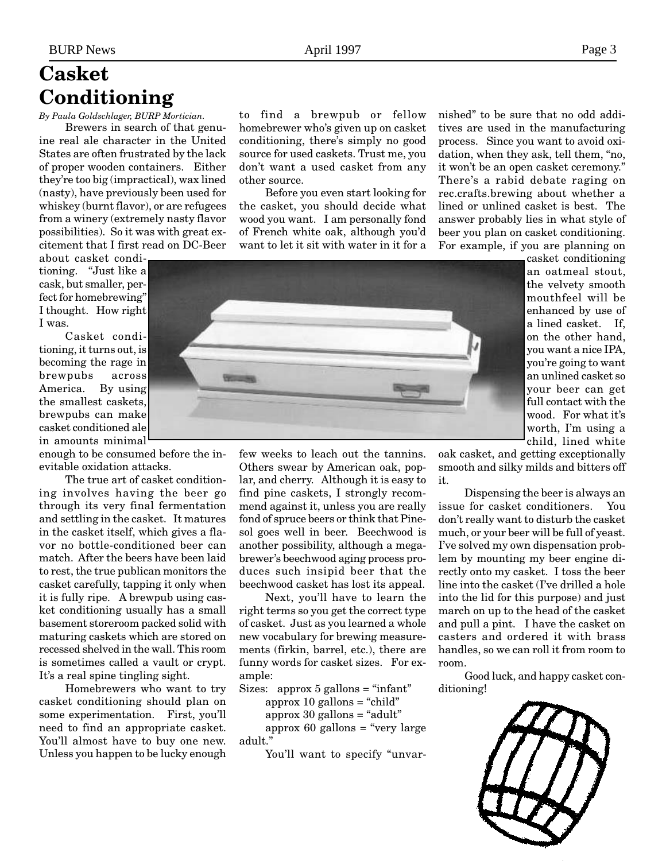## **Casket Conditioning**

#### *By Paula Goldschlager, BURP Mortician.*

Brewers in search of that genuine real ale character in the United States are often frustrated by the lack of proper wooden containers. Either they're too big (impractical), wax lined (nasty), have previously been used for whiskey (burnt flavor), or are refugees from a winery (extremely nasty flavor possibilities). So it was with great excitement that I first read on DC-Beer

about casket conditioning. "Just like a cask, but smaller, perfect for homebrewing" I thought. How right I was.

Casket conditioning, it turns out, is becoming the rage in brewpubs across America. By using the smallest caskets, brewpubs can make casket conditioned ale in amounts minimal

enough to be consumed before the inevitable oxidation attacks.

The true art of casket conditioning involves having the beer go through its very final fermentation and settling in the casket. It matures in the casket itself, which gives a flavor no bottle-conditioned beer can match. After the beers have been laid to rest, the true publican monitors the casket carefully, tapping it only when it is fully ripe. A brewpub using casket conditioning usually has a small basement storeroom packed solid with maturing caskets which are stored on recessed shelved in the wall. This room is sometimes called a vault or crypt. It's a real spine tingling sight.

Homebrewers who want to try casket conditioning should plan on some experimentation. First, you'll need to find an appropriate casket. You'll almost have to buy one new. Unless you happen to be lucky enough to find a brewpub or fellow homebrewer who's given up on casket conditioning, there's simply no good source for used caskets. Trust me, you don't want a used casket from any other source.

Before you even start looking for the casket, you should decide what wood you want. I am personally fond of French white oak, although you'd want to let it sit with water in it for a nished" to be sure that no odd additives are used in the manufacturing process. Since you want to avoid oxidation, when they ask, tell them, "no, it won't be an open casket ceremony." There's a rabid debate raging on rec.crafts.brewing about whether a lined or unlined casket is best. The answer probably lies in what style of beer you plan on casket conditioning. For example, if you are planning on



casket conditioning an oatmeal stout, the velvety smooth mouthfeel will be enhanced by use of a lined casket. If, on the other hand, you want a nice IPA, you're going to want an unlined casket so your beer can get full contact with the wood. For what it's worth, I'm using a child, lined white

few weeks to leach out the tannins. Others swear by American oak, poplar, and cherry. Although it is easy to find pine caskets, I strongly recommend against it, unless you are really fond of spruce beers or think that Pinesol goes well in beer. Beechwood is another possibility, although a megabrewer's beechwood aging process produces such insipid beer that the beechwood casket has lost its appeal.

Next, you'll have to learn the right terms so you get the correct type of casket. Just as you learned a whole new vocabulary for brewing measurements (firkin, barrel, etc.), there are funny words for casket sizes. For example:

Sizes: approx  $5$  gallons = "infant"

approx  $10$  gallons = "child"

approx  $30$  gallons = "adult"

approx 60 gallons  $=$  "very large adult."

You'll want to specify "unvar-

oak casket, and getting exceptionally smooth and silky milds and bitters off it.

Dispensing the beer is always an issue for casket conditioners. You don't really want to disturb the casket much, or your beer will be full of yeast. I've solved my own dispensation problem by mounting my beer engine directly onto my casket. I toss the beer line into the casket (I've drilled a hole into the lid for this purpose) and just march on up to the head of the casket and pull a pint. I have the casket on casters and ordered it with brass handles, so we can roll it from room to room.

Good luck, and happy casket conditioning!

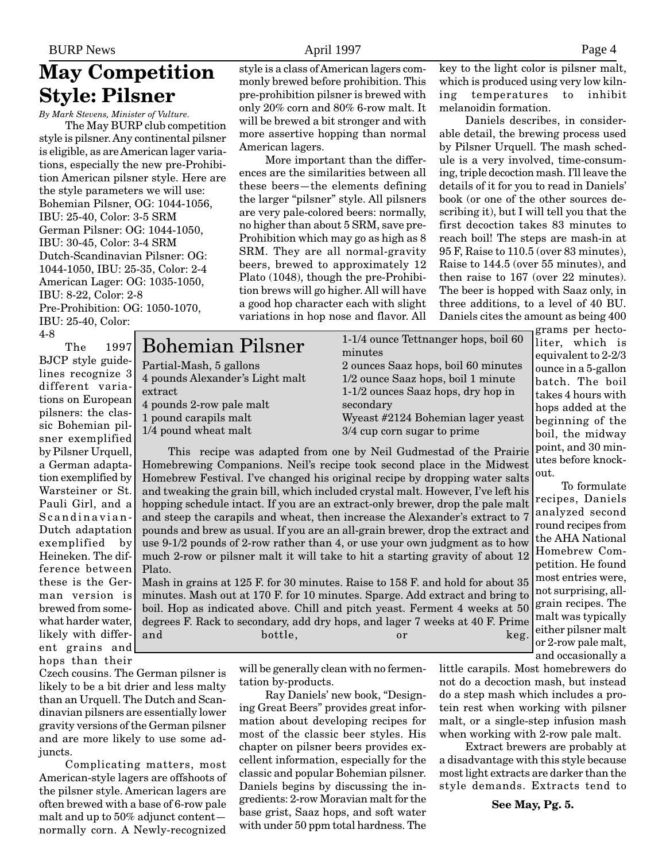## **May Competition Style: Pilsner**

*By Mark Stevens, Minister of Vulture.*

The May BURP club competition style is pilsner. Any continental pilsner is eligible, as are American lager variations, especially the new pre-Prohibition American pilsner style. Here are the style parameters we will use: Bohemian Pilsner, OG: 1044-1056, IBU: 25-40, Color: 3-5 SRM German Pilsner: OG: 1044-1050, IBU: 30-45, Color: 3-4 SRM Dutch-Scandinavian Pilsner: OG: 1044-1050, IBU: 25-35, Color: 2-4 American Lager: OG: 1035-1050, IBU: 8-22, Color: 2-8 Pre-Prohibition: OG: 1050-1070, IBU: 25-40, Color: 4-8

Bohemian Pilsner

4 pounds Alexander's Light malt

Partial-Mash, 5 gallons

4 pounds 2-row pale malt 1 pound carapils malt 1/4 pound wheat malt

extract

The 1997 BJCP style guidelines recognize 3 different variations on European pilsners: the classic Bohemian pilsner exemplified by Pilsner Urquell, a German adaptation exemplified by Warsteiner or St. Pauli Girl, and a Scandinavian-Dutch adaptation exemplified by Heineken. The difference between these is the German version is brewed from somewhat harder water, likely with different grains and hops than their

Czech cousins. The German pilsner is likely to be a bit drier and less malty than an Urquell. The Dutch and Scandinavian pilsners are essentially lower gravity versions of the German pilsner and are more likely to use some adjuncts.

Complicating matters, most American-style lagers are offshoots of the pilsner style. American lagers are often brewed with a base of 6-row pale malt and up to 50% adjunct content normally corn. A Newly-recognized

style is a class of American lagers commonly brewed before prohibition. This pre-prohibition pilsner is brewed with only 20% corn and 80% 6-row malt. It will be brewed a bit stronger and with more assertive hopping than normal American lagers.

More important than the differences are the similarities between all these beers—the elements defining the larger "pilsner" style. All pilsners are very pale-colored beers: normally, no higher than about 5 SRM, save pre-Prohibition which may go as high as 8 SRM. They are all normal-gravity beers, brewed to approximately 12 Plato (1048), though the pre-Prohibition brews will go higher. All will have a good hop character each with slight variations in hop nose and flavor. All key to the light color is pilsner malt, which is produced using very low kilning temperatures to inhibit melanoidin formation.

Daniels describes, in considerable detail, the brewing process used by Pilsner Urquell. The mash schedule is a very involved, time-consuming, triple decoction mash. I'll leave the details of it for you to read in Daniels' book (or one of the other sources describing it), but I will tell you that the first decoction takes 83 minutes to reach boil! The steps are mash-in at 95 F, Raise to 110.5 (over 83 minutes), Raise to 144.5 (over 55 minutes), and then raise to 167 (over 22 minutes). The beer is hopped with Saaz only, in three additions, to a level of 40 BU. Daniels cites the amount as being 400

1-1/4 ounce Tettnanger hops, boil 60 minutes 2 ounces Saaz hops, boil 60 minutes 1/2 ounce Saaz hops, boil 1 minute 1-1/2 ounces Saaz hops, dry hop in secondary Wyeast #2124 Bohemian lager yeast 3/4 cup corn sugar to prime

out. This recipe was adapted from one by Neil Gudmestad of the Prairie Homebrewing Companions. Neil's recipe took second place in the Midwest Homebrew Festival. I've changed his original recipe by dropping water salts and tweaking the grain bill, which included crystal malt. However, I've left his hopping schedule intact. If you are an extract-only brewer, drop the pale malt and steep the carapils and wheat, then increase the Alexander's extract to 7 pounds and brew as usual. If you are an all-grain brewer, drop the extract and use 9-1/2 pounds of 2-row rather than 4, or use your own judgment as to how much 2-row or pilsner malt it will take to hit a starting gravity of about 12 Plato.

Mash in grains at 125 F. for 30 minutes. Raise to 158 F. and hold for about 35 minutes. Mash out at 170 F. for 10 minutes. Sparge. Add extract and bring to boil. Hop as indicated above. Chill and pitch yeast. Ferment 4 weeks at 50 degrees F. Rack to secondary, add dry hops, and lager 7 weeks at 40 F. Prime and bottle, or keg.

> will be generally clean with no fermentation by-products.

Ray Daniels' new book, "Designing Great Beers" provides great information about developing recipes for most of the classic beer styles. His chapter on pilsner beers provides excellent information, especially for the classic and popular Bohemian pilsner. Daniels begins by discussing the ingredients: 2-row Moravian malt for the base grist, Saaz hops, and soft water with under 50 ppm total hardness. The

grams per hectoliter, which is equivalent to 2-2/3 ounce in a 5-gallon batch. The boil takes 4 hours with hops added at the beginning of the boil, the midway point, and 30 minutes before knock-

To formulate recipes, Daniels analyzed second round recipes from the AHA National Homebrew Competition. He found most entries were, not surprising, allgrain recipes. The malt was typically either pilsner malt or 2-row pale malt, and occasionally a

little carapils. Most homebrewers do not do a decoction mash, but instead do a step mash which includes a protein rest when working with pilsner malt, or a single-step infusion mash when working with 2-row pale malt.

Extract brewers are probably at a disadvantage with this style because most light extracts are darker than the style demands. Extracts tend to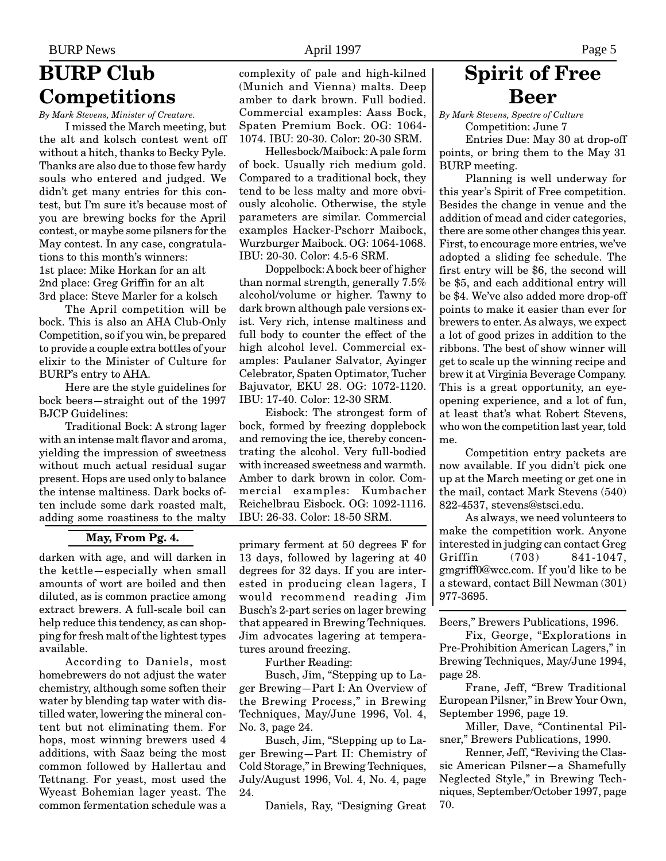## **BURP Club Competitions**

*By Mark Stevens, Minister of Creature.*

I missed the March meeting, but the alt and kolsch contest went off without a hitch, thanks to Becky Pyle. Thanks are also due to those few hardy souls who entered and judged. We didn't get many entries for this contest, but I'm sure it's because most of you are brewing bocks for the April contest, or maybe some pilsners for the May contest. In any case, congratulations to this month's winners: 1st place: Mike Horkan for an alt 2nd place: Greg Griffin for an alt 3rd place: Steve Marler for a kolsch

The April competition will be bock. This is also an AHA Club-Only Competition, so if you win, be prepared to provide a couple extra bottles of your elixir to the Minister of Culture for BURP's entry to AHA.

Here are the style guidelines for bock beers—straight out of the 1997 BJCP Guidelines:

Traditional Bock: A strong lager with an intense malt flavor and aroma, yielding the impression of sweetness without much actual residual sugar present. Hops are used only to balance the intense maltiness. Dark bocks often include some dark roasted malt, adding some roastiness to the malty

### **May, From Pg. 4.**

darken with age, and will darken in the kettle—especially when small amounts of wort are boiled and then diluted, as is common practice among extract brewers. A full-scale boil can help reduce this tendency, as can shopping for fresh malt of the lightest types available.

According to Daniels, most homebrewers do not adjust the water chemistry, although some soften their water by blending tap water with distilled water, lowering the mineral content but not eliminating them. For hops, most winning brewers used 4 additions, with Saaz being the most common followed by Hallertau and Tettnang. For yeast, most used the Wyeast Bohemian lager yeast. The common fermentation schedule was a

complexity of pale and high-kilned (Munich and Vienna) malts. Deep amber to dark brown. Full bodied. Commercial examples: Aass Bock, Spaten Premium Bock. OG: 1064- 1074. IBU: 20-30. Color: 20-30 SRM.

Hellesbock/Maibock: A pale form of bock. Usually rich medium gold. Compared to a traditional bock, they tend to be less malty and more obviously alcoholic. Otherwise, the style parameters are similar. Commercial examples Hacker-Pschorr Maibock, Wurzburger Maibock. OG: 1064-1068. IBU: 20-30. Color: 4.5-6 SRM.

Doppelbock: A bock beer of higher than normal strength, generally 7.5% alcohol/volume or higher. Tawny to dark brown although pale versions exist. Very rich, intense maltiness and full body to counter the effect of the high alcohol level. Commercial examples: Paulaner Salvator, Ayinger Celebrator, Spaten Optimator, Tucher Bajuvator, EKU 28. OG: 1072-1120. IBU: 17-40. Color: 12-30 SRM.

Eisbock: The strongest form of bock, formed by freezing dopplebock and removing the ice, thereby concentrating the alcohol. Very full-bodied with increased sweetness and warmth. Amber to dark brown in color. Commercial examples: Kumbacher Reichelbrau Eisbock. OG: 1092-1116. IBU: 26-33. Color: 18-50 SRM.

primary ferment at 50 degrees F for 13 days, followed by lagering at 40 degrees for 32 days. If you are interested in producing clean lagers, I would recommend reading Jim Busch's 2-part series on lager brewing that appeared in Brewing Techniques. Jim advocates lagering at temperatures around freezing.

Further Reading:

Busch, Jim, "Stepping up to Lager Brewing—Part I: An Overview of the Brewing Process," in Brewing Techniques, May/June 1996, Vol. 4, No. 3, page 24.

Busch, Jim, "Stepping up to Lager Brewing—Part II: Chemistry of Cold Storage," in Brewing Techniques, July/August 1996, Vol. 4, No. 4, page 24.

Daniels, Ray, "Designing Great

## **Spirit of Free Beer**

*By Mark Stevens, Spectre of Culture* Competition: June 7

Entries Due: May 30 at drop-off points, or bring them to the May 31 BURP meeting.

Planning is well underway for this year's Spirit of Free competition. Besides the change in venue and the addition of mead and cider categories, there are some other changes this year. First, to encourage more entries, we've adopted a sliding fee schedule. The first entry will be \$6, the second will be \$5, and each additional entry will be \$4. We've also added more drop-off points to make it easier than ever for brewers to enter. As always, we expect a lot of good prizes in addition to the ribbons. The best of show winner will get to scale up the winning recipe and brew it at Virginia Beverage Company. This is a great opportunity, an eyeopening experience, and a lot of fun, at least that's what Robert Stevens, who won the competition last year, told me.

Competition entry packets are now available. If you didn't pick one up at the March meeting or get one in the mail, contact Mark Stevens (540) 822-4537, stevens@stsci.edu.

As always, we need volunteers to make the competition work. Anyone interested in judging can contact Greg Griffin (703) 841-1047, gmgriff0@wcc.com. If you'd like to be a steward, contact Bill Newman (301) 977-3695.

Beers," Brewers Publications, 1996.

Fix, George, "Explorations in Pre-Prohibition American Lagers," in Brewing Techniques, May/June 1994, page 28.

Frane, Jeff, "Brew Traditional European Pilsner," in Brew Your Own, September 1996, page 19.

Miller, Dave, "Continental Pilsner," Brewers Publications, 1990.

Renner, Jeff, "Reviving the Classic American Pilsner—a Shamefully Neglected Style," in Brewing Techniques, September/October 1997, page 70.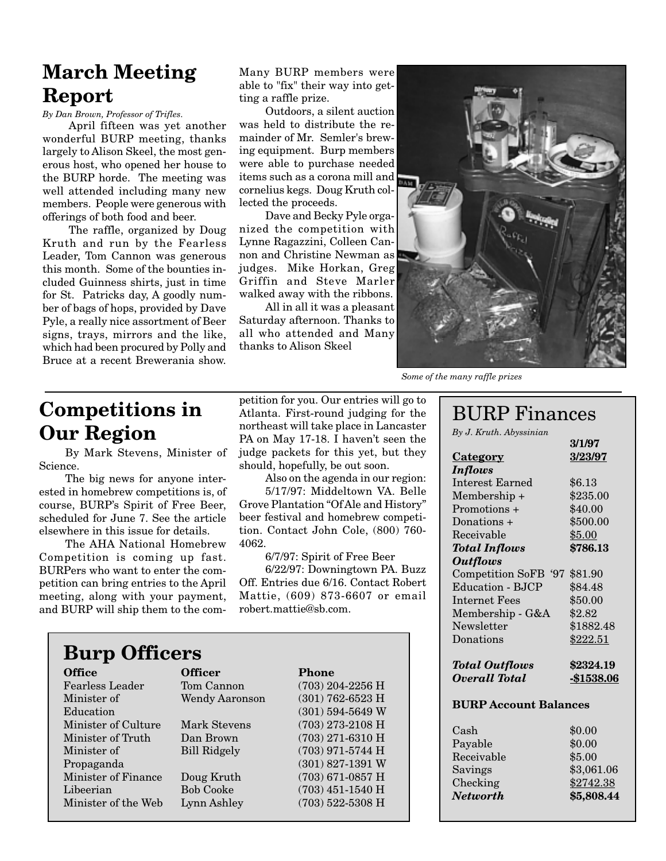## **March Meeting Report**

*By Dan Brown, Professor of Trifles.*

April fifteen was yet another wonderful BURP meeting, thanks largely to Alison Skeel, the most generous host, who opened her house to the BURP horde. The meeting was well attended including many new members. People were generous with offerings of both food and beer.

The raffle, organized by Doug Kruth and run by the Fearless Leader, Tom Cannon was generous this month. Some of the bounties included Guinness shirts, just in time for St. Patricks day, A goodly number of bags of hops, provided by Dave Pyle, a really nice assortment of Beer signs, trays, mirrors and the like, which had been procured by Polly and Bruce at a recent Brewerania show.

Many BURP members were able to "fix" their way into getting a raffle prize.

Outdoors, a silent auction was held to distribute the remainder of Mr. Semler's brewing equipment. Burp members were able to purchase needed items such as a corona mill and cornelius kegs. Doug Kruth collected the proceeds.

Dave and Becky Pyle organized the competition with Lynne Ragazzini, Colleen Cannon and Christine Newman as judges. Mike Horkan, Greg Griffin and Steve Marler walked away with the ribbons.

All in all it was a pleasant Saturday afternoon. Thanks to all who attended and Many thanks to Alison Skeel



*Some of the many raffle prizes*

## **Competitions in Our Region**

By Mark Stevens, Minister of Science.

The big news for anyone interested in homebrew competitions is, of course, BURP's Spirit of Free Beer, scheduled for June 7. See the article elsewhere in this issue for details.

The AHA National Homebrew Competition is coming up fast. BURPers who want to enter the competition can bring entries to the April meeting, along with your payment, and BURP will ship them to the com-

petition for you. Our entries will go to Atlanta. First-round judging for the northeast will take place in Lancaster PA on May 17-18. I haven't seen the judge packets for this yet, but they should, hopefully, be out soon.

Also on the agenda in our region: 5/17/97: Middeltown VA. Belle Grove Plantation "Of Ale and History" beer festival and homebrew competition. Contact John Cole, (800) 760- 4062.

6/7/97: Spirit of Free Beer

6/22/97: Downingtown PA. Buzz Off. Entries due 6/16. Contact Robert Mattie, (609) 873-6607 or email robert.mattie@sb.com.

# **Burp Officers**

**Office Officer Phone** Fearless Leader Tom Cannon (703) 204-2256 H Minister of Wendy Aaronson (301) 762-6523 H Education (301) 594-5649 W Minister of Culture Mark Stevens (703) 273-2108 H Minister of Truth Dan Brown (703) 271-6310 H Minister of Bill Ridgely (703) 971-5744 H Propaganda (301) 827-1391 W Minister of Finance Doug Kruth (703) 671-0857 H Libeerian Bob Cooke (703) 451-1540 H Minister of the Web Lynn Ashley (703) 522-5308 H

### BURP Finances

**3/1/97**

*By J. Kruth. Abyssinian*

|                                      | V 1/V 1     |
|--------------------------------------|-------------|
| <b>Category</b>                      | 3/23/97     |
| <b>Inflows</b>                       |             |
| <b>Interest Earned</b>               | \$6.13      |
| Membership +                         | \$235.00    |
| Promotions +                         | \$40.00     |
| Donations +                          | \$500.00    |
| Receivable                           | \$5.00      |
| <b>Total Inflows</b>                 | \$786.13    |
| <b>Outflows</b>                      |             |
| <b>Competition SoFB</b><br><b>97</b> | \$81.90     |
| <b>Education - BJCP</b>              | \$84.48     |
| Internet Fees                        | \$50.00     |
| Membership - G&A                     | \$2.82      |
| Newsletter                           | \$1882.48   |
| Donations                            | \$222.51    |
| <b>Total Outflows</b>                | \$2324.19   |
| Overall Total                        | $-$1538.06$ |
| <b>BURP Account Balances</b>         |             |

| \$0.00<br>\$0.00<br>\$5.00<br>\$3,061.06 |
|------------------------------------------|
| \$2742.38<br>\$5,808.44                  |
|                                          |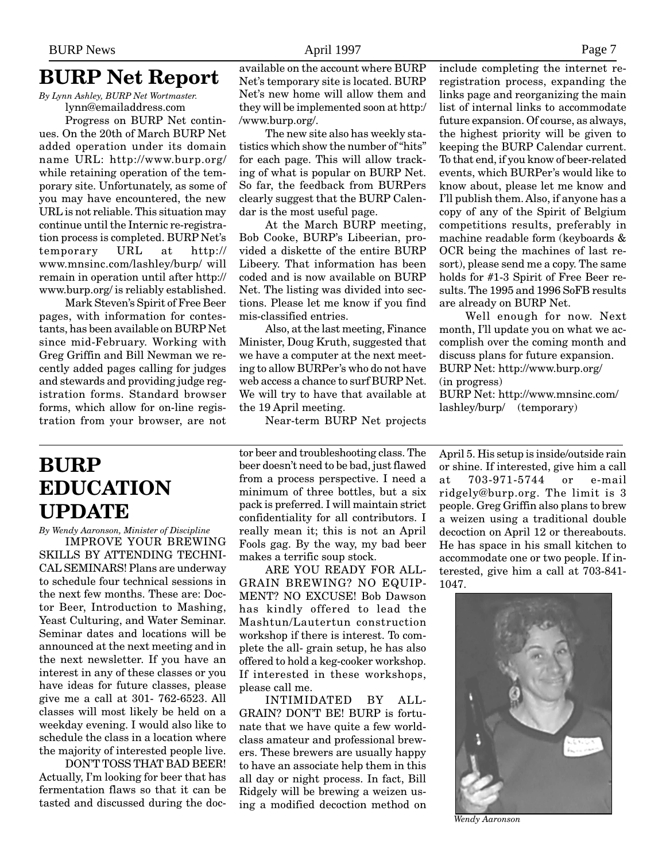### **BURP Net Report**

*By Lynn Ashley, BURP Net Wortmaster.* lynn@emailaddress.com

Progress on BURP Net continues. On the 20th of March BURP Net added operation under its domain name URL: http://www.burp.org/ while retaining operation of the temporary site. Unfortunately, as some of you may have encountered, the new URL is not reliable. This situation may continue until the Internic re-registration process is completed. BURP Net's temporary URL at http:// www.mnsinc.com/lashley/burp/ will remain in operation until after http:// www.burp.org/ is reliably established.

Mark Steven's Spirit of Free Beer pages, with information for contestants, has been available on BURP Net since mid-February. Working with Greg Griffin and Bill Newman we recently added pages calling for judges and stewards and providing judge registration forms. Standard browser forms, which allow for on-line registration from your browser, are not

## **BURP EDUCATION UPDATE**

*By Wendy Aaronson, Minister of Discipline*

IMPROVE YOUR BREWING SKILLS BY ATTENDING TECHNI-CAL SEMINARS! Plans are underway to schedule four technical sessions in the next few months. These are: Doctor Beer, Introduction to Mashing, Yeast Culturing, and Water Seminar. Seminar dates and locations will be announced at the next meeting and in the next newsletter. If you have an interest in any of these classes or you have ideas for future classes, please give me a call at 301- 762-6523. All classes will most likely be held on a weekday evening. I would also like to schedule the class in a location where the majority of interested people live.

DON'T TOSS THAT BAD BEER! Actually, I'm looking for beer that has fermentation flaws so that it can be tasted and discussed during the docavailable on the account where BURP Net's temporary site is located. BURP Net's new home will allow them and they will be implemented soon at http:/ /www.burp.org/.

The new site also has weekly statistics which show the number of "hits" for each page. This will allow tracking of what is popular on BURP Net. So far, the feedback from BURPers clearly suggest that the BURP Calendar is the most useful page.

At the March BURP meeting, Bob Cooke, BURP's Libeerian, provided a diskette of the entire BURP Libeery. That information has been coded and is now available on BURP Net. The listing was divided into sections. Please let me know if you find mis-classified entries.

Also, at the last meeting, Finance Minister, Doug Kruth, suggested that we have a computer at the next meeting to allow BURPer's who do not have web access a chance to surf BURP Net. We will try to have that available at the 19 April meeting.

Near-term BURP Net projects

tor beer and troubleshooting class. The beer doesn't need to be bad, just flawed from a process perspective. I need a minimum of three bottles, but a six pack is preferred. I will maintain strict confidentiality for all contributors. I really mean it; this is not an April Fools gag. By the way, my bad beer makes a terrific soup stock.

ARE YOU READY FOR ALL-GRAIN BREWING? NO EQUIP-MENT? NO EXCUSE! Bob Dawson has kindly offered to lead the Mashtun/Lautertun construction workshop if there is interest. To complete the all- grain setup, he has also offered to hold a keg-cooker workshop. If interested in these workshops, please call me.

INTIMIDATED BY ALL-GRAIN? DON'T BE! BURP is fortunate that we have quite a few worldclass amateur and professional brewers. These brewers are usually happy to have an associate help them in this all day or night process. In fact, Bill Ridgely will be brewing a weizen using a modified decoction method on

include completing the internet reregistration process, expanding the links page and reorganizing the main list of internal links to accommodate future expansion. Of course, as always, the highest priority will be given to keeping the BURP Calendar current. To that end, if you know of beer-related events, which BURPer's would like to know about, please let me know and I'll publish them. Also, if anyone has a copy of any of the Spirit of Belgium competitions results, preferably in machine readable form (keyboards & OCR being the machines of last resort), please send me a copy. The same holds for #1-3 Spirit of Free Beer results. The 1995 and 1996 SoFB results are already on BURP Net.

Well enough for now. Next month, I'll update you on what we accomplish over the coming month and discuss plans for future expansion. BURP Net: http://www.burp.org/ (in progress)

BURP Net: http://www.mnsinc.com/ lashley/burp/ (temporary)

April 5. His setup is inside/outside rain or shine. If interested, give him a call at 703-971-5744 or e-mail ridgely@burp.org. The limit is 3 people. Greg Griffin also plans to brew a weizen using a traditional double decoction on April 12 or thereabouts. He has space in his small kitchen to accommodate one or two people. If interested, give him a call at 703-841- 1047.



*Wendy Aaronson*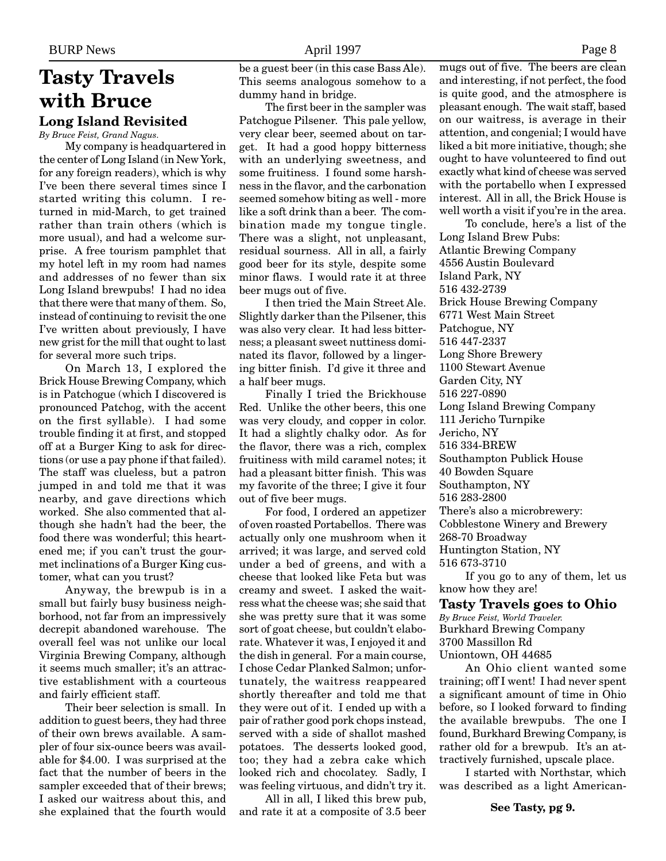### **Tasty Travels with Bruce Long Island Revisited**

*By Bruce Feist, Grand Nagus.*

My company is headquartered in the center of Long Island (in New York, for any foreign readers), which is why I've been there several times since I started writing this column. I returned in mid-March, to get trained rather than train others (which is more usual), and had a welcome surprise. A free tourism pamphlet that my hotel left in my room had names and addresses of no fewer than six Long Island brewpubs! I had no idea that there were that many of them. So, instead of continuing to revisit the one I've written about previously, I have new grist for the mill that ought to last for several more such trips.

On March 13, I explored the Brick House Brewing Company, which is in Patchogue (which I discovered is pronounced Patchog, with the accent on the first syllable). I had some trouble finding it at first, and stopped off at a Burger King to ask for directions (or use a pay phone if that failed). The staff was clueless, but a patron jumped in and told me that it was nearby, and gave directions which worked. She also commented that although she hadn't had the beer, the food there was wonderful; this heartened me; if you can't trust the gourmet inclinations of a Burger King customer, what can you trust?

Anyway, the brewpub is in a small but fairly busy business neighborhood, not far from an impressively decrepit abandoned warehouse. The overall feel was not unlike our local Virginia Brewing Company, although it seems much smaller; it's an attractive establishment with a courteous and fairly efficient staff.

Their beer selection is small. In addition to guest beers, they had three of their own brews available. A sampler of four six-ounce beers was available for \$4.00. I was surprised at the fact that the number of beers in the sampler exceeded that of their brews; I asked our waitress about this, and she explained that the fourth would

be a guest beer (in this case Bass Ale). This seems analogous somehow to a dummy hand in bridge.

The first beer in the sampler was Patchogue Pilsener. This pale yellow, very clear beer, seemed about on target. It had a good hoppy bitterness with an underlying sweetness, and some fruitiness. I found some harshness in the flavor, and the carbonation seemed somehow biting as well - more like a soft drink than a beer. The combination made my tongue tingle. There was a slight, not unpleasant, residual sourness. All in all, a fairly good beer for its style, despite some minor flaws. I would rate it at three beer mugs out of five.

I then tried the Main Street Ale. Slightly darker than the Pilsener, this was also very clear. It had less bitterness; a pleasant sweet nuttiness dominated its flavor, followed by a lingering bitter finish. I'd give it three and a half beer mugs.

Finally I tried the Brickhouse Red. Unlike the other beers, this one was very cloudy, and copper in color. It had a slightly chalky odor. As for the flavor, there was a rich, complex fruitiness with mild caramel notes; it had a pleasant bitter finish. This was my favorite of the three; I give it four out of five beer mugs.

For food, I ordered an appetizer of oven roasted Portabellos. There was actually only one mushroom when it arrived; it was large, and served cold under a bed of greens, and with a cheese that looked like Feta but was creamy and sweet. I asked the waitress what the cheese was; she said that she was pretty sure that it was some sort of goat cheese, but couldn't elaborate. Whatever it was, I enjoyed it and the dish in general. For a main course, I chose Cedar Planked Salmon; unfortunately, the waitress reappeared shortly thereafter and told me that they were out of it. I ended up with a pair of rather good pork chops instead, served with a side of shallot mashed potatoes. The desserts looked good, too; they had a zebra cake which looked rich and chocolatey. Sadly, I was feeling virtuous, and didn't try it.

All in all, I liked this brew pub, and rate it at a composite of 3.5 beer mugs out of five. The beers are clean and interesting, if not perfect, the food is quite good, and the atmosphere is pleasant enough. The wait staff, based on our waitress, is average in their attention, and congenial; I would have liked a bit more initiative, though; she ought to have volunteered to find out exactly what kind of cheese was served with the portabello when I expressed interest. All in all, the Brick House is well worth a visit if you're in the area.

To conclude, here's a list of the Long Island Brew Pubs: Atlantic Brewing Company 4556 Austin Boulevard Island Park, NY 516 432-2739 Brick House Brewing Company 6771 West Main Street Patchogue, NY 516 447-2337 Long Shore Brewery 1100 Stewart Avenue Garden City, NY 516 227-0890 Long Island Brewing Company 111 Jericho Turnpike Jericho, NY 516 334-BREW Southampton Publick House 40 Bowden Square Southampton, NY 516 283-2800 There's also a microbrewery: Cobblestone Winery and Brewery 268-70 Broadway Huntington Station, NY 516 673-3710

If you go to any of them, let us know how they are!

#### **Tasty Travels goes to Ohio**

*By Bruce Feist, World Traveler.* Burkhard Brewing Company 3700 Massillon Rd Uniontown, OH 44685

An Ohio client wanted some training; off I went! I had never spent a significant amount of time in Ohio before, so I looked forward to finding the available brewpubs. The one I found, Burkhard Brewing Company, is rather old for a brewpub. It's an attractively furnished, upscale place.

I started with Northstar, which was described as a light American-

**See Tasty, pg 9.**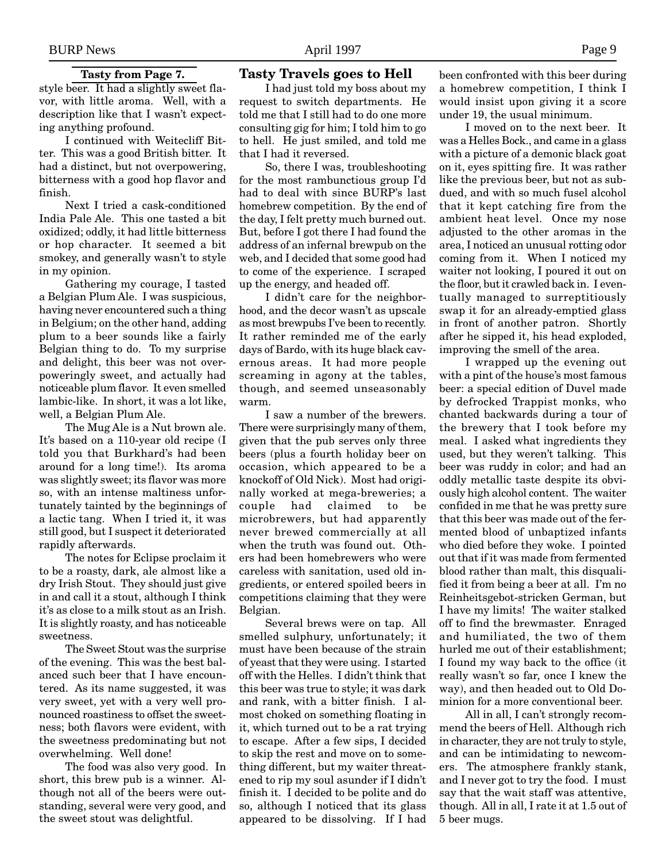#### **Tasty from Page 7.**

style beer. It had a slightly sweet flavor, with little aroma. Well, with a description like that I wasn't expecting anything profound.

I continued with Weitecliff Bitter. This was a good British bitter. It had a distinct, but not overpowering, bitterness with a good hop flavor and finish.

Next I tried a cask-conditioned India Pale Ale. This one tasted a bit oxidized; oddly, it had little bitterness or hop character. It seemed a bit smokey, and generally wasn't to style in my opinion.

Gathering my courage, I tasted a Belgian Plum Ale. I was suspicious, having never encountered such a thing in Belgium; on the other hand, adding plum to a beer sounds like a fairly Belgian thing to do. To my surprise and delight, this beer was not overpoweringly sweet, and actually had noticeable plum flavor. It even smelled lambic-like. In short, it was a lot like, well, a Belgian Plum Ale.

The Mug Ale is a Nut brown ale. It's based on a 110-year old recipe (I told you that Burkhard's had been around for a long time!). Its aroma was slightly sweet; its flavor was more so, with an intense maltiness unfortunately tainted by the beginnings of a lactic tang. When I tried it, it was still good, but I suspect it deteriorated rapidly afterwards.

The notes for Eclipse proclaim it to be a roasty, dark, ale almost like a dry Irish Stout. They should just give in and call it a stout, although I think it's as close to a milk stout as an Irish. It is slightly roasty, and has noticeable sweetness.

The Sweet Stout was the surprise of the evening. This was the best balanced such beer that I have encountered. As its name suggested, it was very sweet, yet with a very well pronounced roastiness to offset the sweetness; both flavors were evident, with the sweetness predominating but not overwhelming. Well done!

The food was also very good. In short, this brew pub is a winner. Although not all of the beers were outstanding, several were very good, and the sweet stout was delightful.

### **Tasty Travels goes to Hell**

I had just told my boss about my request to switch departments. He told me that I still had to do one more consulting gig for him; I told him to go to hell. He just smiled, and told me that I had it reversed.

So, there I was, troubleshooting for the most rambunctious group I'd had to deal with since BURP's last homebrew competition. By the end of the day, I felt pretty much burned out. But, before I got there I had found the address of an infernal brewpub on the web, and I decided that some good had to come of the experience. I scraped up the energy, and headed off.

I didn't care for the neighborhood, and the decor wasn't as upscale as most brewpubs I've been to recently. It rather reminded me of the early days of Bardo, with its huge black cavernous areas. It had more people screaming in agony at the tables, though, and seemed unseasonably warm.

I saw a number of the brewers. There were surprisingly many of them, given that the pub serves only three beers (plus a fourth holiday beer on occasion, which appeared to be a knockoff of Old Nick). Most had originally worked at mega-breweries; a couple had claimed to be microbrewers, but had apparently never brewed commercially at all when the truth was found out. Others had been homebrewers who were careless with sanitation, used old ingredients, or entered spoiled beers in competitions claiming that they were Belgian.

Several brews were on tap. All smelled sulphury, unfortunately; it must have been because of the strain of yeast that they were using. I started off with the Helles. I didn't think that this beer was true to style; it was dark and rank, with a bitter finish. I almost choked on something floating in it, which turned out to be a rat trying to escape. After a few sips, I decided to skip the rest and move on to something different, but my waiter threatened to rip my soul asunder if I didn't finish it. I decided to be polite and do so, although I noticed that its glass appeared to be dissolving. If I had been confronted with this beer during a homebrew competition, I think I would insist upon giving it a score under 19, the usual minimum.

I moved on to the next beer. It was a Helles Bock., and came in a glass with a picture of a demonic black goat on it, eyes spitting fire. It was rather like the previous beer, but not as subdued, and with so much fusel alcohol that it kept catching fire from the ambient heat level. Once my nose adjusted to the other aromas in the area, I noticed an unusual rotting odor coming from it. When I noticed my waiter not looking, I poured it out on the floor, but it crawled back in. I eventually managed to surreptitiously swap it for an already-emptied glass in front of another patron. Shortly after he sipped it, his head exploded, improving the smell of the area.

I wrapped up the evening out with a pint of the house's most famous beer: a special edition of Duvel made by defrocked Trappist monks, who chanted backwards during a tour of the brewery that I took before my meal. I asked what ingredients they used, but they weren't talking. This beer was ruddy in color; and had an oddly metallic taste despite its obviously high alcohol content. The waiter confided in me that he was pretty sure that this beer was made out of the fermented blood of unbaptized infants who died before they woke. I pointed out that if it was made from fermented blood rather than malt, this disqualified it from being a beer at all. I'm no Reinheitsgebot-stricken German, but I have my limits! The waiter stalked off to find the brewmaster. Enraged and humiliated, the two of them hurled me out of their establishment; I found my way back to the office (it really wasn't so far, once I knew the way), and then headed out to Old Dominion for a more conventional beer.

All in all, I can't strongly recommend the beers of Hell. Although rich in character, they are not truly to style, and can be intimidating to newcomers. The atmosphere frankly stank, and I never got to try the food. I must say that the wait staff was attentive, though. All in all, I rate it at 1.5 out of 5 beer mugs.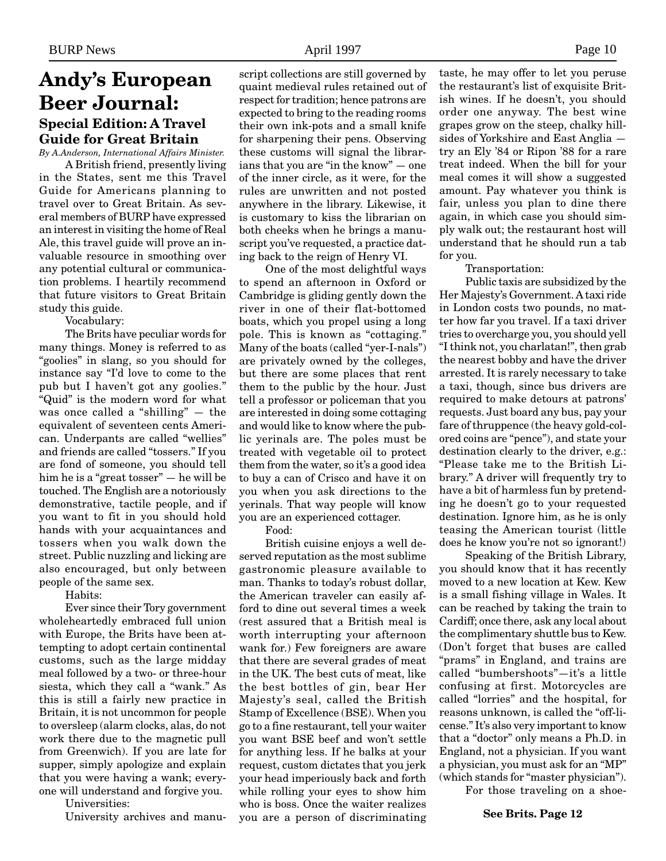### **Andy's European Beer Journal: Special Edition: A Travel Guide for Great Britain**

*By A.Anderson, International Affairs Minister.*

A British friend, presently living in the States, sent me this Travel Guide for Americans planning to travel over to Great Britain. As several members of BURP have expressed an interest in visiting the home of Real Ale, this travel guide will prove an invaluable resource in smoothing over any potential cultural or communication problems. I heartily recommend that future visitors to Great Britain study this guide.

Vocabulary:

The Brits have peculiar words for many things. Money is referred to as "goolies" in slang, so you should for instance say "I'd love to come to the pub but I haven't got any goolies." "Quid" is the modern word for what was once called a "shilling" — the equivalent of seventeen cents American. Underpants are called "wellies" and friends are called "tossers." If you are fond of someone, you should tell him he is a "great tosser" — he will be touched. The English are a notoriously demonstrative, tactile people, and if you want to fit in you should hold hands with your acquaintances and tossers when you walk down the street. Public nuzzling and licking are also encouraged, but only between people of the same sex.

Habits:

Ever since their Tory government wholeheartedly embraced full union with Europe, the Brits have been attempting to adopt certain continental customs, such as the large midday meal followed by a two- or three-hour siesta, which they call a "wank." As this is still a fairly new practice in Britain, it is not uncommon for people to oversleep (alarm clocks, alas, do not work there due to the magnetic pull from Greenwich). If you are late for supper, simply apologize and explain that you were having a wank; everyone will understand and forgive you.

Universities:

University archives and manu-

script collections are still governed by quaint medieval rules retained out of respect for tradition; hence patrons are expected to bring to the reading rooms their own ink-pots and a small knife for sharpening their pens. Observing these customs will signal the librarians that you are "in the know" — one of the inner circle, as it were, for the rules are unwritten and not posted anywhere in the library. Likewise, it is customary to kiss the librarian on both cheeks when he brings a manuscript you've requested, a practice dating back to the reign of Henry VI.

One of the most delightful ways to spend an afternoon in Oxford or Cambridge is gliding gently down the river in one of their flat-bottomed boats, which you propel using a long pole. This is known as "cottaging." Many of the boats (called "yer-I-nals") are privately owned by the colleges, but there are some places that rent them to the public by the hour. Just tell a professor or policeman that you are interested in doing some cottaging and would like to know where the public yerinals are. The poles must be treated with vegetable oil to protect them from the water, so it's a good idea to buy a can of Crisco and have it on you when you ask directions to the yerinals. That way people will know you are an experienced cottager.

Food:

British cuisine enjoys a well deserved reputation as the most sublime gastronomic pleasure available to man. Thanks to today's robust dollar, the American traveler can easily afford to dine out several times a week (rest assured that a British meal is worth interrupting your afternoon wank for.) Few foreigners are aware that there are several grades of meat in the UK. The best cuts of meat, like the best bottles of gin, bear Her Majesty's seal, called the British Stamp of Excellence (BSE). When you go to a fine restaurant, tell your waiter you want BSE beef and won't settle for anything less. If he balks at your request, custom dictates that you jerk your head imperiously back and forth while rolling your eyes to show him who is boss. Once the waiter realizes you are a person of discriminating taste, he may offer to let you peruse the restaurant's list of exquisite British wines. If he doesn't, you should order one anyway. The best wine grapes grow on the steep, chalky hillsides of Yorkshire and East Anglia try an Ely '84 or Ripon '88 for a rare treat indeed. When the bill for your meal comes it will show a suggested amount. Pay whatever you think is fair, unless you plan to dine there again, in which case you should simply walk out; the restaurant host will understand that he should run a tab for you.

Transportation:

Public taxis are subsidized by the Her Majesty's Government. A taxi ride in London costs two pounds, no matter how far you travel. If a taxi driver tries to overcharge you, you should yell "I think not, you charlatan!", then grab the nearest bobby and have the driver arrested. It is rarely necessary to take a taxi, though, since bus drivers are required to make detours at patrons' requests. Just board any bus, pay your fare of thruppence (the heavy gold-colored coins are "pence"), and state your destination clearly to the driver, e.g.: "Please take me to the British Library." A driver will frequently try to have a bit of harmless fun by pretending he doesn't go to your requested destination. Ignore him, as he is only teasing the American tourist (little does he know you're not so ignorant!)

Speaking of the British Library, you should know that it has recently moved to a new location at Kew. Kew is a small fishing village in Wales. It can be reached by taking the train to Cardiff; once there, ask any local about the complimentary shuttle bus to Kew. (Don't forget that buses are called "prams" in England, and trains are called "bumbershoots"—it's a little confusing at first. Motorcycles are called "lorries" and the hospital, for reasons unknown, is called the "off-license." It's also very important to know that a "doctor" only means a Ph.D. in England, not a physician. If you want a physician, you must ask for an "MP" (which stands for "master physician").

For those traveling on a shoe-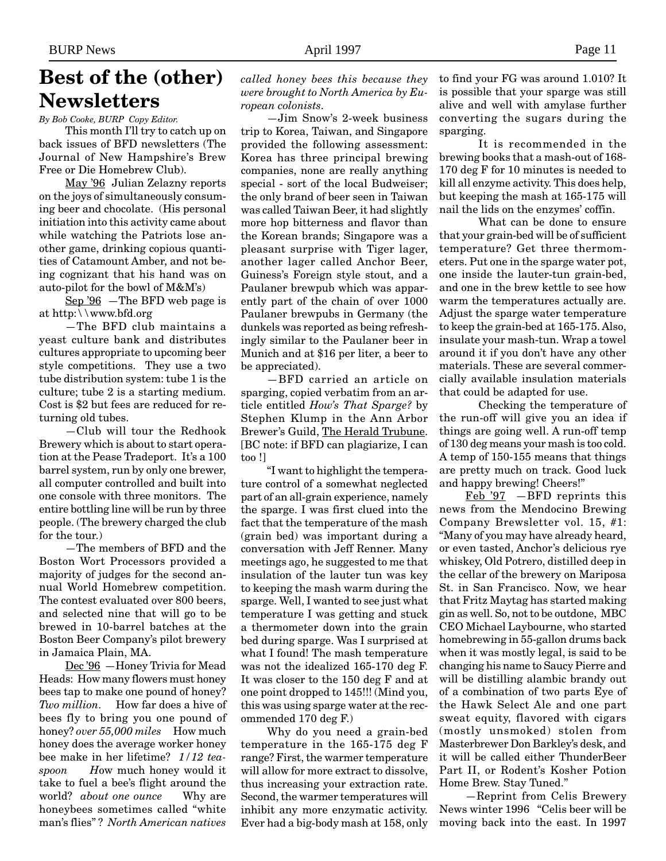## **Best of the (other) Newsletters**

*By Bob Cooke, BURP Copy Editor.*

This month I'll try to catch up on back issues of BFD newsletters (The Journal of New Hampshire's Brew Free or Die Homebrew Club).

May '96 Julian Zelazny reports on the joys of simultaneously consuming beer and chocolate. (His personal initiation into this activity came about while watching the Patriots lose another game, drinking copious quantities of Catamount Amber, and not being cognizant that his hand was on auto-pilot for the bowl of M&M's)

Sep '96 —The BFD web page is at http:\\www.bfd.org

—The BFD club maintains a yeast culture bank and distributes cultures appropriate to upcoming beer style competitions. They use a two tube distribution system: tube 1 is the culture; tube 2 is a starting medium. Cost is \$2 but fees are reduced for returning old tubes.

—Club will tour the Redhook Brewery which is about to start operation at the Pease Tradeport. It's a 100 barrel system, run by only one brewer, all computer controlled and built into one console with three monitors. The entire bottling line will be run by three people. (The brewery charged the club for the tour.)

—The members of BFD and the Boston Wort Processors provided a majority of judges for the second annual World Homebrew competition. The contest evaluated over 800 beers, and selected nine that will go to be brewed in 10-barrel batches at the Boston Beer Company's pilot brewery in Jamaica Plain, MA.

Dec '96 —Honey Trivia for Mead Heads: How many flowers must honey bees tap to make one pound of honey? *Two million.* How far does a hive of bees fly to bring you one pound of honey? *over 55,000 miles* How much honey does the average worker honey bee make in her lifetime? *1/12 teaspoon H*ow much honey would it take to fuel a bee's flight around the world? *about one ounce* Why are honeybees sometimes called "white man's flies" ? *North American natives*

*called honey bees this because they were brought to North America by European colonists.*

—Jim Snow's 2-week business trip to Korea, Taiwan, and Singapore provided the following assessment: Korea has three principal brewing companies, none are really anything special - sort of the local Budweiser; the only brand of beer seen in Taiwan was called Taiwan Beer, it had slightly more hop bitterness and flavor than the Korean brands; Singapore was a pleasant surprise with Tiger lager, another lager called Anchor Beer, Guiness's Foreign style stout, and a Paulaner brewpub which was apparently part of the chain of over 1000 Paulaner brewpubs in Germany (the dunkels was reported as being refreshingly similar to the Paulaner beer in Munich and at \$16 per liter, a beer to be appreciated).

—BFD carried an article on sparging, copied verbatim from an article entitled *How's That Sparge?* by Stephen Klump in the Ann Arbor Brewer's Guild, The Herald Trubune. [BC note: if BFD can plagiarize, I can too !]

"I want to highlight the temperature control of a somewhat neglected part of an all-grain experience, namely the sparge. I was first clued into the fact that the temperature of the mash (grain bed) was important during a conversation with Jeff Renner. Many meetings ago, he suggested to me that insulation of the lauter tun was key to keeping the mash warm during the sparge. Well, I wanted to see just what temperature I was getting and stuck a thermometer down into the grain bed during sparge. Was I surprised at what I found! The mash temperature was not the idealized 165-170 deg F. It was closer to the 150 deg F and at one point dropped to 145!!! (Mind you, this was using sparge water at the recommended 170 deg F.)

Why do you need a grain-bed temperature in the 165-175 deg F range? First, the warmer temperature will allow for more extract to dissolve, thus increasing your extraction rate. Second, the warmer temperatures will inhibit any more enzymatic activity. Ever had a big-body mash at 158, only

to find your FG was around 1.010? It is possible that your sparge was still alive and well with amylase further converting the sugars during the sparging.

It is recommended in the brewing books that a mash-out of 168- 170 deg F for 10 minutes is needed to kill all enzyme activity. This does help, but keeping the mash at 165-175 will nail the lids on the enzymes' coffin.

What can be done to ensure that your grain-bed will be of sufficient temperature? Get three thermometers. Put one in the sparge water pot, one inside the lauter-tun grain-bed, and one in the brew kettle to see how warm the temperatures actually are. Adjust the sparge water temperature to keep the grain-bed at 165-175. Also, insulate your mash-tun. Wrap a towel around it if you don't have any other materials. These are several commercially available insulation materials that could be adapted for use.

Checking the temperature of the run-off will give you an idea if things are going well. A run-off temp of 130 deg means your mash is too cold. A temp of 150-155 means that things are pretty much on track. Good luck and happy brewing! Cheers!"

Feb '97 —BFD reprints this news from the Mendocino Brewing Company Brewsletter vol. 15, #1: "Many of you may have already heard, or even tasted, Anchor's delicious rye whiskey, Old Potrero, distilled deep in the cellar of the brewery on Mariposa St. in San Francisco. Now, we hear that Fritz Maytag has started making gin as well. So, not to be outdone, MBC CEO Michael Laybourne, who started homebrewing in 55-gallon drums back when it was mostly legal, is said to be changing his name to Saucy Pierre and will be distilling alambic brandy out of a combination of two parts Eye of the Hawk Select Ale and one part sweat equity, flavored with cigars (mostly unsmoked) stolen from Masterbrewer Don Barkley's desk, and it will be called either ThunderBeer Part II, or Rodent's Kosher Potion Home Brew. Stay Tuned."

—Reprint from Celis Brewery News winter 1996 "Celis beer will be moving back into the east. In 1997